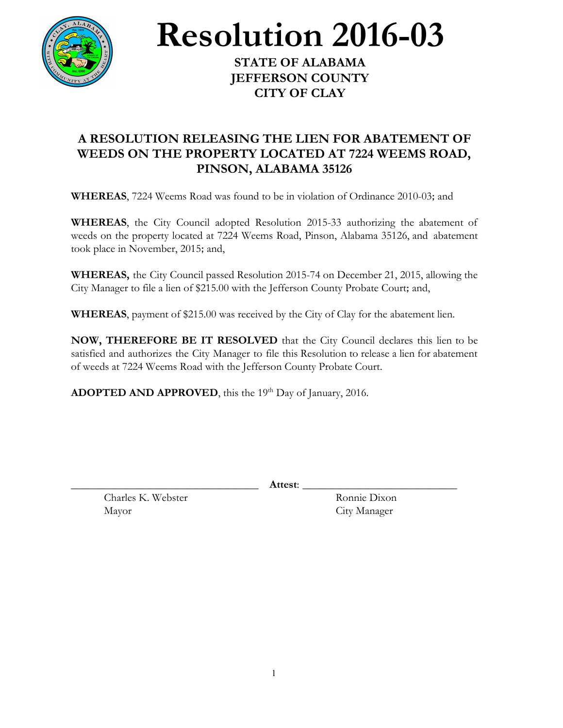

**Resolution 2016-03**

**STATE OF ALABAMA JEFFERSON COUNTY CITY OF CLAY**

## **A RESOLUTION RELEASING THE LIEN FOR ABATEMENT OF WEEDS ON THE PROPERTY LOCATED AT 7224 WEEMS ROAD, PINSON, ALABAMA 35126**

**WHEREAS**, 7224 Weems Road was found to be in violation of Ordinance 2010-03; and

**WHEREAS**, the City Council adopted Resolution 2015-33 authorizing the abatement of weeds on the property located at 7224 Weems Road, Pinson, Alabama 35126, and abatement took place in November, 2015; and,

**WHEREAS,** the City Council passed Resolution 2015-74 on December 21, 2015, allowing the City Manager to file a lien of \$215.00 with the Jefferson County Probate Court; and,

**WHEREAS**, payment of \$215.00 was received by the City of Clay for the abatement lien.

**NOW, THEREFORE BE IT RESOLVED** that the City Council declares this lien to be satisfied and authorizes the City Manager to file this Resolution to release a lien for abatement of weeds at 7224 Weems Road with the Jefferson County Probate Court.

**ADOPTED AND APPROVED**, this the 19<sup>th</sup> Day of January, 2016.

\_\_\_\_\_\_\_\_\_\_\_\_\_\_\_\_\_\_\_\_\_\_\_\_\_\_\_\_\_\_\_\_\_\_ **Attest**: \_\_\_\_\_\_\_\_\_\_\_\_\_\_\_\_\_\_\_\_\_\_\_\_\_\_\_\_

Charles K. Webster Ronnie Dixon Mayor City Manager